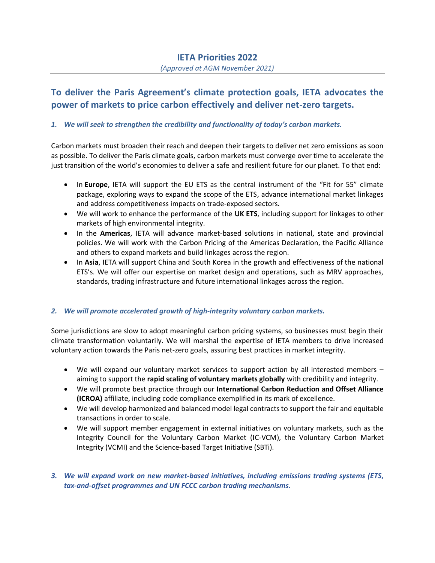#### *(Approved at AGM November 2021)*

# **To deliver the Paris Agreement's climate protection goals, IETA advocates the power of markets to price carbon effectively and deliver net-zero targets.**

## *1. We will seek to strengthen the credibility and functionality of today's carbon markets.*

Carbon markets must broaden their reach and deepen their targets to deliver net zero emissions as soon as possible. To deliver the Paris climate goals, carbon markets must converge over time to accelerate the just transition of the world's economies to deliver a safe and resilient future for our planet. To that end:

- In **Europe**, IETA will support the EU ETS as the central instrument of the "Fit for 55" climate package, exploring ways to expand the scope of the ETS, advance international market linkages and address competitiveness impacts on trade-exposed sectors.
- We will work to enhance the performance of the **UK ETS**, including support for linkages to other markets of high environmental integrity.
- In the **Americas**, IETA will advance market-based solutions in national, state and provincial policies. We will work with the Carbon Pricing of the Americas Declaration, the Pacific Alliance and others to expand markets and build linkages across the region.
- In **Asia**, IETA will support China and South Korea in the growth and effectiveness of the national ETS's. We will offer our expertise on market design and operations, such as MRV approaches, standards, trading infrastructure and future international linkages across the region.

### *2. We will promote accelerated growth of high-integrity voluntary carbon markets.*

Some jurisdictions are slow to adopt meaningful carbon pricing systems, so businesses must begin their climate transformation voluntarily. We will marshal the expertise of IETA members to drive increased voluntary action towards the Paris net-zero goals, assuring best practices in market integrity.

- We will expand our voluntary market services to support action by all interested members aiming to support the **rapid scaling of voluntary markets globally** with credibility and integrity.
- We will promote best practice through our **International Carbon Reduction and Offset Alliance (ICROA)** affiliate, including code compliance exemplified in its mark of excellence.
- We will develop harmonized and balanced model legal contracts to support the fair and equitable transactions in order to scale.
- We will support member engagement in external initiatives on voluntary markets, such as the Integrity Council for the Voluntary Carbon Market (IC-VCM), the Voluntary Carbon Market Integrity (VCMI) and the Science-based Target Initiative (SBTi).
- *3. We will expand work on new market-based initiatives, including emissions trading systems (ETS, tax-and-offset programmes and UN FCCC carbon trading mechanisms.*